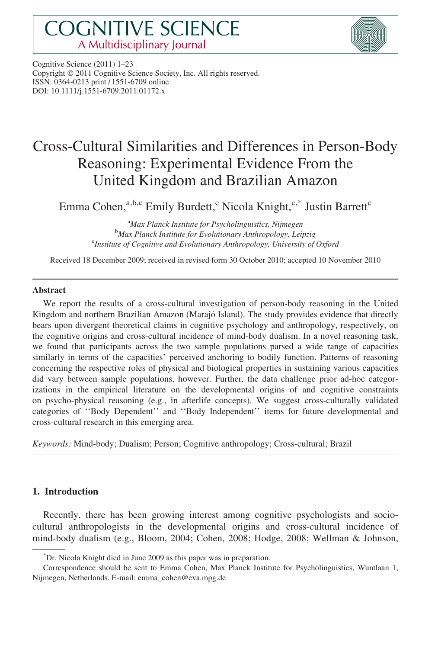# **COGNITIVE SCIENCE** A Multidisciplinary Journal



Cognitive Science (2011) 1–23 Copyright  $\odot$  2011 Cognitive Science Society, Inc. All rights reserved. ISSN: 0364-0213 print / 1551-6709 online DOI: 10.1111/j.1551-6709.2011.01172.x

# Cross-Cultural Similarities and Differences in Person-Body Reasoning: Experimental Evidence From the United Kingdom and Brazilian Amazon

Emma Cohen,<sup>a,b,c</sup> Emily Burdett,<sup>c</sup> Nicola Knight,<sup>c,\*</sup> Justin Barrett<sup>c</sup>

<sup>a</sup>Max Planck Institute for Psycholinguistics, Nijmegen<sup>b</sup>Max Planck Institute for Evolutionary Anthropology, Lei <sup>b</sup>Max Planck Institute for Evolutionary Anthropology, Leipzig  $\mathcal{C}_{\mathit{Institute of Cognitive and Evolutionary Anthropology},\,University\, of Oxford$ 

Received 18 December 2009; received in revised form 30 October 2010; accepted 10 November 2010

## Abstract

We report the results of a cross-cultural investigation of person-body reasoning in the United Kingdom and northern Brazilian Amazon (Marajó Island). The study provides evidence that directly bears upon divergent theoretical claims in cognitive psychology and anthropology, respectively, on the cognitive origins and cross-cultural incidence of mind-body dualism. In a novel reasoning task, we found that participants across the two sample populations parsed a wide range of capacities similarly in terms of the capacities' perceived anchoring to bodily function. Patterns of reasoning concerning the respective roles of physical and biological properties in sustaining various capacities did vary between sample populations, however. Further, the data challenge prior ad-hoc categorizations in the empirical literature on the developmental origins of and cognitive constraints on psycho-physical reasoning (e.g., in afterlife concepts). We suggest cross-culturally validated categories of ''Body Dependent'' and ''Body Independent'' items for future developmental and cross-cultural research in this emerging area.

Keywords: Mind-body; Dualism; Person; Cognitive anthropology; Cross-cultural; Brazil

# 1. Introduction

Recently, there has been growing interest among cognitive psychologists and sociocultural anthropologists in the developmental origins and cross-cultural incidence of mind-body dualism (e.g., Bloom, 2004; Cohen, 2008; Hodge, 2008; Wellman & Johnson,

<sup>\*</sup> Dr. Nicola Knight died in June 2009 as this paper was in preparation.

Correspondence should be sent to Emma Cohen, Max Planck Institute for Psycholinguistics, Wuntlaan 1, Nijmegen, Netherlands. E-mail: emma\_cohen@eva.mpg.de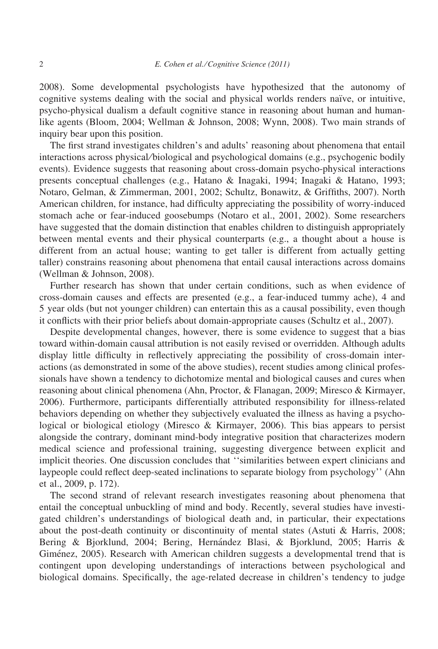2008). Some developmental psychologists have hypothesized that the autonomy of cognitive systems dealing with the social and physical worlds renders naïve, or intuitive, psycho-physical dualism a default cognitive stance in reasoning about human and humanlike agents (Bloom, 2004; Wellman & Johnson, 2008; Wynn, 2008). Two main strands of inquiry bear upon this position.

The first strand investigates children's and adults' reasoning about phenomena that entail interactions across physical⁄ biological and psychological domains (e.g., psychogenic bodily events). Evidence suggests that reasoning about cross-domain psycho-physical interactions presents conceptual challenges (e.g., Hatano & Inagaki, 1994; Inagaki & Hatano, 1993; Notaro, Gelman, & Zimmerman, 2001, 2002; Schultz, Bonawitz, & Griffiths, 2007). North American children, for instance, had difficulty appreciating the possibility of worry-induced stomach ache or fear-induced goosebumps (Notaro et al., 2001, 2002). Some researchers have suggested that the domain distinction that enables children to distinguish appropriately between mental events and their physical counterparts (e.g., a thought about a house is different from an actual house; wanting to get taller is different from actually getting taller) constrains reasoning about phenomena that entail causal interactions across domains (Wellman & Johnson, 2008).

Further research has shown that under certain conditions, such as when evidence of cross-domain causes and effects are presented (e.g., a fear-induced tummy ache), 4 and 5 year olds (but not younger children) can entertain this as a causal possibility, even though it conflicts with their prior beliefs about domain-appropriate causes (Schultz et al., 2007).

Despite developmental changes, however, there is some evidence to suggest that a bias toward within-domain causal attribution is not easily revised or overridden. Although adults display little difficulty in reflectively appreciating the possibility of cross-domain interactions (as demonstrated in some of the above studies), recent studies among clinical professionals have shown a tendency to dichotomize mental and biological causes and cures when reasoning about clinical phenomena (Ahn, Proctor, & Flanagan, 2009; Miresco & Kirmayer, 2006). Furthermore, participants differentially attributed responsibility for illness-related behaviors depending on whether they subjectively evaluated the illness as having a psychological or biological etiology (Miresco & Kirmayer, 2006). This bias appears to persist alongside the contrary, dominant mind-body integrative position that characterizes modern medical science and professional training, suggesting divergence between explicit and implicit theories. One discussion concludes that ''similarities between expert clinicians and laypeople could reflect deep-seated inclinations to separate biology from psychology'' (Ahn et al., 2009, p. 172).

The second strand of relevant research investigates reasoning about phenomena that entail the conceptual unbuckling of mind and body. Recently, several studies have investigated children's understandings of biological death and, in particular, their expectations about the post-death continuity or discontinuity of mental states (Astuti & Harris, 2008; Bering & Bjorklund, 2004; Bering, Hernández Blasi, & Bjorklund, 2005; Harris & Giménez, 2005). Research with American children suggests a developmental trend that is contingent upon developing understandings of interactions between psychological and biological domains. Specifically, the age-related decrease in children's tendency to judge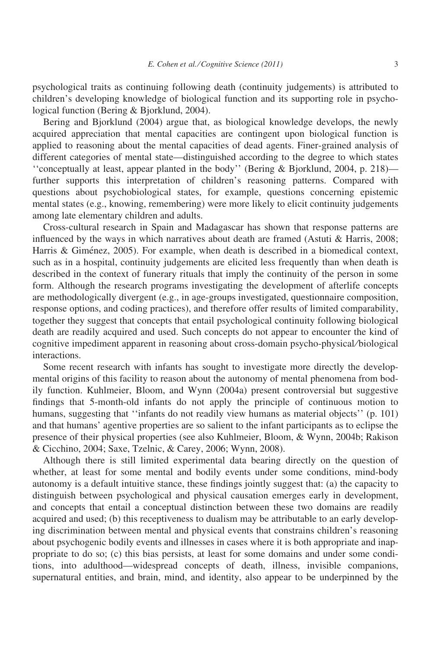psychological traits as continuing following death (continuity judgements) is attributed to children's developing knowledge of biological function and its supporting role in psychological function (Bering & Bjorklund, 2004).

Bering and Bjorklund (2004) argue that, as biological knowledge develops, the newly acquired appreciation that mental capacities are contingent upon biological function is applied to reasoning about the mental capacities of dead agents. Finer-grained analysis of different categories of mental state—distinguished according to the degree to which states ''conceptually at least, appear planted in the body'' (Bering & Bjorklund, 2004, p. 218) further supports this interpretation of children's reasoning patterns. Compared with questions about psychobiological states, for example, questions concerning epistemic mental states (e.g., knowing, remembering) were more likely to elicit continuity judgements among late elementary children and adults.

Cross-cultural research in Spain and Madagascar has shown that response patterns are influenced by the ways in which narratives about death are framed (Astuti & Harris, 2008; Harris & Giménez,  $2005$ ). For example, when death is described in a biomedical context, such as in a hospital, continuity judgements are elicited less frequently than when death is described in the context of funerary rituals that imply the continuity of the person in some form. Although the research programs investigating the development of afterlife concepts are methodologically divergent (e.g., in age-groups investigated, questionnaire composition, response options, and coding practices), and therefore offer results of limited comparability, together they suggest that concepts that entail psychological continuity following biological death are readily acquired and used. Such concepts do not appear to encounter the kind of cognitive impediment apparent in reasoning about cross-domain psycho-physical⁄ biological interactions.

Some recent research with infants has sought to investigate more directly the developmental origins of this facility to reason about the autonomy of mental phenomena from bodily function. Kuhlmeier, Bloom, and Wynn (2004a) present controversial but suggestive findings that 5-month-old infants do not apply the principle of continuous motion to humans, suggesting that "infants do not readily view humans as material objects" (p. 101) and that humans' agentive properties are so salient to the infant participants as to eclipse the presence of their physical properties (see also Kuhlmeier, Bloom, & Wynn, 2004b; Rakison & Cicchino, 2004; Saxe, Tzelnic, & Carey, 2006; Wynn, 2008).

Although there is still limited experimental data bearing directly on the question of whether, at least for some mental and bodily events under some conditions, mind-body autonomy is a default intuitive stance, these findings jointly suggest that: (a) the capacity to distinguish between psychological and physical causation emerges early in development, and concepts that entail a conceptual distinction between these two domains are readily acquired and used; (b) this receptiveness to dualism may be attributable to an early developing discrimination between mental and physical events that constrains children's reasoning about psychogenic bodily events and illnesses in cases where it is both appropriate and inappropriate to do so; (c) this bias persists, at least for some domains and under some conditions, into adulthood—widespread concepts of death, illness, invisible companions, supernatural entities, and brain, mind, and identity, also appear to be underpinned by the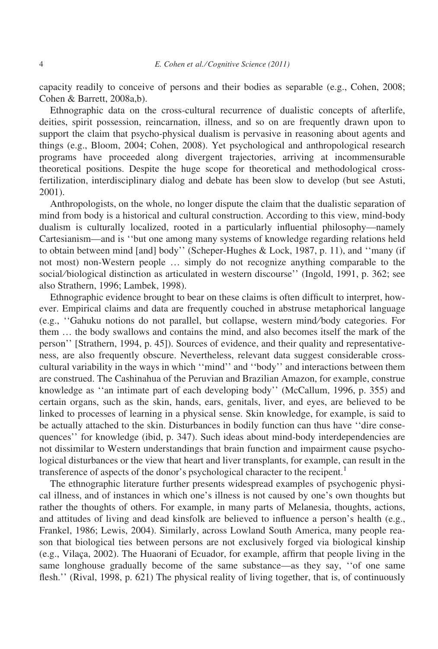capacity readily to conceive of persons and their bodies as separable (e.g., Cohen, 2008; Cohen & Barrett, 2008a,b).

Ethnographic data on the cross-cultural recurrence of dualistic concepts of afterlife, deities, spirit possession, reincarnation, illness, and so on are frequently drawn upon to support the claim that psycho-physical dualism is pervasive in reasoning about agents and things (e.g., Bloom, 2004; Cohen, 2008). Yet psychological and anthropological research programs have proceeded along divergent trajectories, arriving at incommensurable theoretical positions. Despite the huge scope for theoretical and methodological crossfertilization, interdisciplinary dialog and debate has been slow to develop (but see Astuti, 2001).

Anthropologists, on the whole, no longer dispute the claim that the dualistic separation of mind from body is a historical and cultural construction. According to this view, mind-body dualism is culturally localized, rooted in a particularly influential philosophy—namely Cartesianism—and is ''but one among many systems of knowledge regarding relations held to obtain between mind [and] body'' (Scheper-Hughes & Lock, 1987, p. 11), and ''many (if not most) non-Western people … simply do not recognize anything comparable to the social⁄ biological distinction as articulated in western discourse'' (Ingold, 1991, p. 362; see also Strathern, 1996; Lambek, 1998).

Ethnographic evidence brought to bear on these claims is often difficult to interpret, however. Empirical claims and data are frequently couched in abstruse metaphorical language (e.g., ''Gahuku notions do not parallel, but collapse, western mind ⁄ body categories. For them … the body swallows and contains the mind, and also becomes itself the mark of the person'' [Strathern, 1994, p. 45]). Sources of evidence, and their quality and representativeness, are also frequently obscure. Nevertheless, relevant data suggest considerable crosscultural variability in the ways in which ''mind'' and ''body'' and interactions between them are construed. The Cashinahua of the Peruvian and Brazilian Amazon, for example, construe knowledge as ''an intimate part of each developing body'' (McCallum, 1996, p. 355) and certain organs, such as the skin, hands, ears, genitals, liver, and eyes, are believed to be linked to processes of learning in a physical sense. Skin knowledge, for example, is said to be actually attached to the skin. Disturbances in bodily function can thus have ''dire consequences'' for knowledge (ibid, p. 347). Such ideas about mind-body interdependencies are not dissimilar to Western understandings that brain function and impairment cause psychological disturbances or the view that heart and liver transplants, for example, can result in the transference of aspects of the donor's psychological character to the recipent.<sup>1</sup>

The ethnographic literature further presents widespread examples of psychogenic physical illness, and of instances in which one's illness is not caused by one's own thoughts but rather the thoughts of others. For example, in many parts of Melanesia, thoughts, actions, and attitudes of living and dead kinsfolk are believed to influence a person's health (e.g., Frankel, 1986; Lewis, 2004). Similarly, across Lowland South America, many people reason that biological ties between persons are not exclusively forged via biological kinship (e.g., Vilaça, 2002). The Huaorani of Ecuador, for example, affirm that people living in the same longhouse gradually become of the same substance—as they say, ''of one same flesh.'' (Rival, 1998, p. 621) The physical reality of living together, that is, of continuously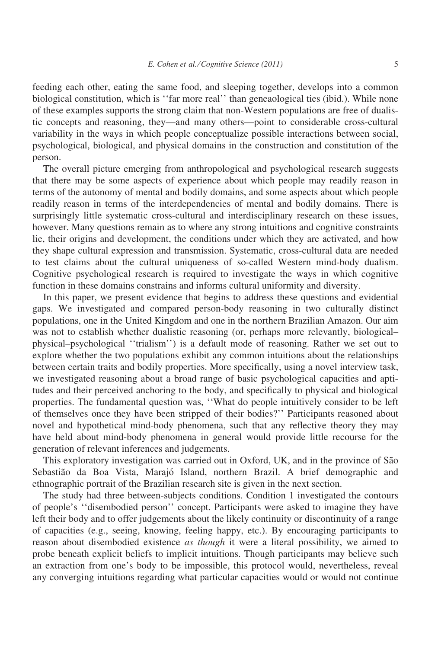feeding each other, eating the same food, and sleeping together, develops into a common biological constitution, which is ''far more real'' than geneaological ties (ibid.). While none of these examples supports the strong claim that non-Western populations are free of dualistic concepts and reasoning, they—and many others—point to considerable cross-cultural variability in the ways in which people conceptualize possible interactions between social, psychological, biological, and physical domains in the construction and constitution of the person.

The overall picture emerging from anthropological and psychological research suggests that there may be some aspects of experience about which people may readily reason in terms of the autonomy of mental and bodily domains, and some aspects about which people readily reason in terms of the interdependencies of mental and bodily domains. There is surprisingly little systematic cross-cultural and interdisciplinary research on these issues, however. Many questions remain as to where any strong intuitions and cognitive constraints lie, their origins and development, the conditions under which they are activated, and how they shape cultural expression and transmission. Systematic, cross-cultural data are needed to test claims about the cultural uniqueness of so-called Western mind-body dualism. Cognitive psychological research is required to investigate the ways in which cognitive function in these domains constrains and informs cultural uniformity and diversity.

In this paper, we present evidence that begins to address these questions and evidential gaps. We investigated and compared person-body reasoning in two culturally distinct populations, one in the United Kingdom and one in the northern Brazilian Amazon. Our aim was not to establish whether dualistic reasoning (or, perhaps more relevantly, biological– physical–psychological ''trialism'') is a default mode of reasoning. Rather we set out to explore whether the two populations exhibit any common intuitions about the relationships between certain traits and bodily properties. More specifically, using a novel interview task, we investigated reasoning about a broad range of basic psychological capacities and aptitudes and their perceived anchoring to the body, and specifically to physical and biological properties. The fundamental question was, ''What do people intuitively consider to be left of themselves once they have been stripped of their bodies?'' Participants reasoned about novel and hypothetical mind-body phenomena, such that any reflective theory they may have held about mind-body phenomena in general would provide little recourse for the generation of relevant inferences and judgements.

This exploratory investigation was carried out in Oxford, UK, and in the province of São Sebastião da Boa Vista, Marajó Island, northern Brazil. A brief demographic and ethnographic portrait of the Brazilian research site is given in the next section.

The study had three between-subjects conditions. Condition 1 investigated the contours of people's ''disembodied person'' concept. Participants were asked to imagine they have left their body and to offer judgements about the likely continuity or discontinuity of a range of capacities (e.g., seeing, knowing, feeling happy, etc.). By encouraging participants to reason about disembodied existence as though it were a literal possibility, we aimed to probe beneath explicit beliefs to implicit intuitions. Though participants may believe such an extraction from one's body to be impossible, this protocol would, nevertheless, reveal any converging intuitions regarding what particular capacities would or would not continue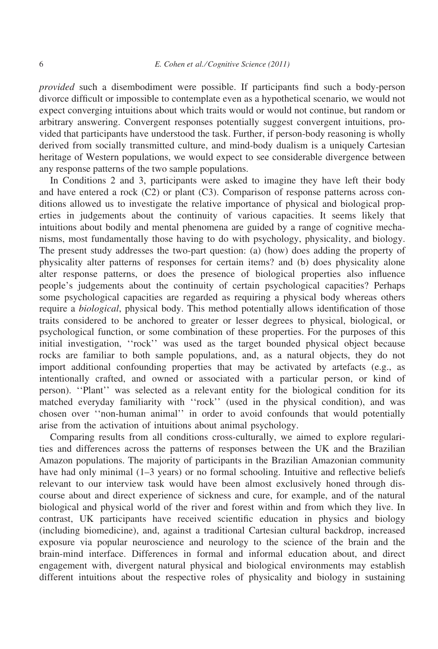provided such a disembodiment were possible. If participants find such a body-person divorce difficult or impossible to contemplate even as a hypothetical scenario, we would not expect converging intuitions about which traits would or would not continue, but random or arbitrary answering. Convergent responses potentially suggest convergent intuitions, provided that participants have understood the task. Further, if person-body reasoning is wholly derived from socially transmitted culture, and mind-body dualism is a uniquely Cartesian heritage of Western populations, we would expect to see considerable divergence between any response patterns of the two sample populations.

In Conditions 2 and 3, participants were asked to imagine they have left their body and have entered a rock (C2) or plant (C3). Comparison of response patterns across conditions allowed us to investigate the relative importance of physical and biological properties in judgements about the continuity of various capacities. It seems likely that intuitions about bodily and mental phenomena are guided by a range of cognitive mechanisms, most fundamentally those having to do with psychology, physicality, and biology. The present study addresses the two-part question: (a) (how) does adding the property of physicality alter patterns of responses for certain items? and (b) does physicality alone alter response patterns, or does the presence of biological properties also influence people's judgements about the continuity of certain psychological capacities? Perhaps some psychological capacities are regarded as requiring a physical body whereas others require a biological, physical body. This method potentially allows identification of those traits considered to be anchored to greater or lesser degrees to physical, biological, or psychological function, or some combination of these properties. For the purposes of this initial investigation, ''rock'' was used as the target bounded physical object because rocks are familiar to both sample populations, and, as a natural objects, they do not import additional confounding properties that may be activated by artefacts (e.g., as intentionally crafted, and owned or associated with a particular person, or kind of person). ''Plant'' was selected as a relevant entity for the biological condition for its matched everyday familiarity with ''rock'' (used in the physical condition), and was chosen over ''non-human animal'' in order to avoid confounds that would potentially arise from the activation of intuitions about animal psychology.

Comparing results from all conditions cross-culturally, we aimed to explore regularities and differences across the patterns of responses between the UK and the Brazilian Amazon populations. The majority of participants in the Brazilian Amazonian community have had only minimal (1–3 years) or no formal schooling. Intuitive and reflective beliefs relevant to our interview task would have been almost exclusively honed through discourse about and direct experience of sickness and cure, for example, and of the natural biological and physical world of the river and forest within and from which they live. In contrast, UK participants have received scientific education in physics and biology (including biomedicine), and, against a traditional Cartesian cultural backdrop, increased exposure via popular neuroscience and neurology to the science of the brain and the brain-mind interface. Differences in formal and informal education about, and direct engagement with, divergent natural physical and biological environments may establish different intuitions about the respective roles of physicality and biology in sustaining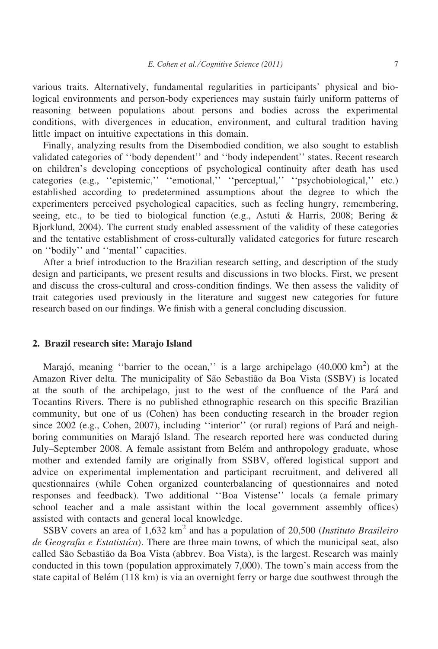various traits. Alternatively, fundamental regularities in participants' physical and biological environments and person-body experiences may sustain fairly uniform patterns of reasoning between populations about persons and bodies across the experimental conditions, with divergences in education, environment, and cultural tradition having little impact on intuitive expectations in this domain.

Finally, analyzing results from the Disembodied condition, we also sought to establish validated categories of ''body dependent'' and ''body independent'' states. Recent research on children's developing conceptions of psychological continuity after death has used categories (e.g., ''epistemic,'' ''emotional,'' ''perceptual,'' ''psychobiological,'' etc.) established according to predetermined assumptions about the degree to which the experimenters perceived psychological capacities, such as feeling hungry, remembering, seeing, etc., to be tied to biological function (e.g., Astuti & Harris, 2008; Bering & Bjorklund, 2004). The current study enabled assessment of the validity of these categories and the tentative establishment of cross-culturally validated categories for future research on ''bodily'' and ''mental'' capacities.

After a brief introduction to the Brazilian research setting, and description of the study design and participants, we present results and discussions in two blocks. First, we present and discuss the cross-cultural and cross-condition findings. We then assess the validity of trait categories used previously in the literature and suggest new categories for future research based on our findings. We finish with a general concluding discussion.

## 2. Brazil research site: Marajo Island

Marajó, meaning "barrier to the ocean," is a large archipelago  $(40,000 \text{ km}^2)$  at the Amazon River delta. The municipality of São Sebastião da Boa Vista (SSBV) is located at the south of the archipelago, just to the west of the confluence of the Para´ and Tocantins Rivers. There is no published ethnographic research on this specific Brazilian community, but one of us (Cohen) has been conducting research in the broader region since 2002 (e.g., Cohen, 2007), including "interior" (or rural) regions of Pará and neighboring communities on Marajó Island. The research reported here was conducted during July–September 2008. A female assistant from Belém and anthropology graduate, whose mother and extended family are originally from SSBV, offered logistical support and advice on experimental implementation and participant recruitment, and delivered all questionnaires (while Cohen organized counterbalancing of questionnaires and noted responses and feedback). Two additional ''Boa Vistense'' locals (a female primary school teacher and a male assistant within the local government assembly offices) assisted with contacts and general local knowledge.

SSBV covers an area of  $1,632 \text{ km}^2$  and has a population of 20,500 (*Instituto Brasileiro* de Geografia e Estatistica). There are three main towns, of which the municipal seat, also called São Sebastião da Boa Vista (abbrev. Boa Vista), is the largest. Research was mainly conducted in this town (population approximately 7,000). The town's main access from the state capital of Belém  $(118 \text{ km})$  is via an overnight ferry or barge due southwest through the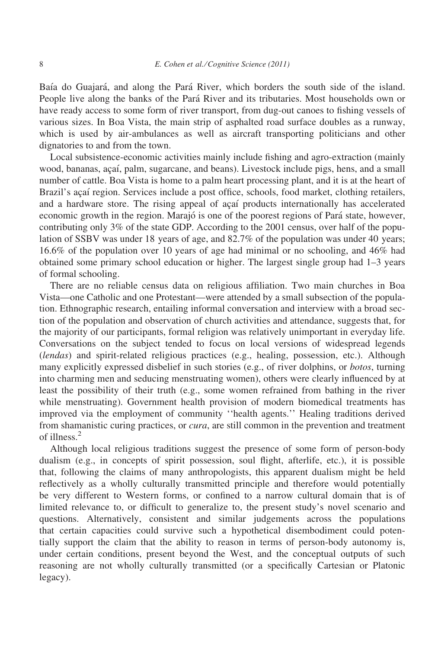Baía do Guajará, and along the Pará River, which borders the south side of the island. People live along the banks of the Para<sup>chi</sup> River and its tributaries. Most households own or have ready access to some form of river transport, from dug-out canoes to fishing vessels of various sizes. In Boa Vista, the main strip of asphalted road surface doubles as a runway, which is used by air-ambulances as well as aircraft transporting politicians and other dignatories to and from the town.

Local subsistence-economic activities mainly include fishing and agro-extraction (mainly wood, bananas, açaí, palm, sugarcane, and beans). Livestock include pigs, hens, and a small number of cattle. Boa Vista is home to a palm heart processing plant, and it is at the heart of Brazil's açaí region. Services include a post office, schools, food market, clothing retailers, and a hardware store. The rising appeal of açaí products internationally has accelerated economic growth in the region. Marajó is one of the poorest regions of Pará state, however, contributing only 3% of the state GDP. According to the 2001 census, over half of the population of SSBV was under 18 years of age, and 82.7% of the population was under 40 years; 16.6% of the population over 10 years of age had minimal or no schooling, and 46% had obtained some primary school education or higher. The largest single group had 1–3 years of formal schooling.

There are no reliable census data on religious affiliation. Two main churches in Boa Vista—one Catholic and one Protestant—were attended by a small subsection of the population. Ethnographic research, entailing informal conversation and interview with a broad section of the population and observation of church activities and attendance, suggests that, for the majority of our participants, formal religion was relatively unimportant in everyday life. Conversations on the subject tended to focus on local versions of widespread legends (lendas) and spirit-related religious practices (e.g., healing, possession, etc.). Although many explicitly expressed disbelief in such stories (e.g., of river dolphins, or botos, turning into charming men and seducing menstruating women), others were clearly influenced by at least the possibility of their truth (e.g., some women refrained from bathing in the river while menstruating). Government health provision of modern biomedical treatments has improved via the employment of community ''health agents.'' Healing traditions derived from shamanistic curing practices, or *cura*, are still common in the prevention and treatment of illness $^2$ 

Although local religious traditions suggest the presence of some form of person-body dualism (e.g., in concepts of spirit possession, soul flight, afterlife, etc.), it is possible that, following the claims of many anthropologists, this apparent dualism might be held reflectively as a wholly culturally transmitted principle and therefore would potentially be very different to Western forms, or confined to a narrow cultural domain that is of limited relevance to, or difficult to generalize to, the present study's novel scenario and questions. Alternatively, consistent and similar judgements across the populations that certain capacities could survive such a hypothetical disembodiment could potentially support the claim that the ability to reason in terms of person-body autonomy is, under certain conditions, present beyond the West, and the conceptual outputs of such reasoning are not wholly culturally transmitted (or a specifically Cartesian or Platonic legacy).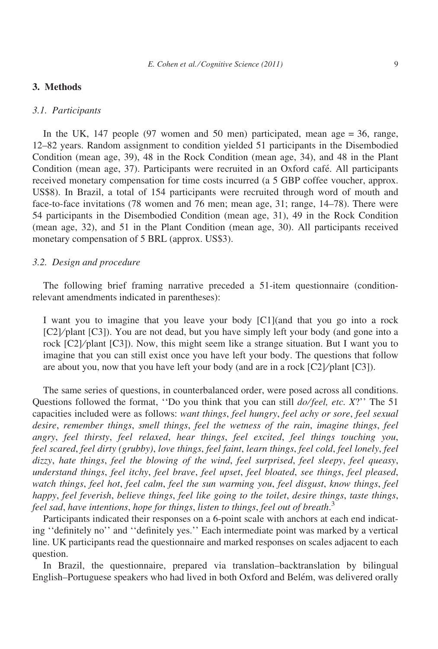## 3. Methods

#### 3.1. Participants

In the UK, 147 people  $(97 \text{ women and } 50 \text{ men})$  participated, mean age = 36, range, 12–82 years. Random assignment to condition yielded 51 participants in the Disembodied Condition (mean age, 39), 48 in the Rock Condition (mean age, 34), and 48 in the Plant Condition (mean age, 37). Participants were recruited in an Oxford cafe´. All participants received monetary compensation for time costs incurred (a 5 GBP coffee voucher, approx. US\$8). In Brazil, a total of 154 participants were recruited through word of mouth and face-to-face invitations (78 women and 76 men; mean age, 31; range, 14–78). There were 54 participants in the Disembodied Condition (mean age, 31), 49 in the Rock Condition (mean age, 32), and 51 in the Plant Condition (mean age, 30). All participants received monetary compensation of 5 BRL (approx. US\$3).

# 3.2. Design and procedure

The following brief framing narrative preceded a 51-item questionnaire (conditionrelevant amendments indicated in parentheses):

I want you to imagine that you leave your body [C1](and that you go into a rock  $[C2]/\text{plant } [C3]$ ). You are not dead, but you have simply left your body (and gone into a rock [C2]⁄ plant [C3]). Now, this might seem like a strange situation. But I want you to imagine that you can still exist once you have left your body. The questions that follow are about you, now that you have left your body (and are in a rock [C2]⁄ plant [C3]).

The same series of questions, in counterbalanced order, were posed across all conditions. Questions followed the format, "Do you think that you can still *do/feel, etc. X*?" The 51 capacities included were as follows: want things, feel hungry, feel achy or sore, feel sexual desire, remember things, smell things, feel the wetness of the rain, imagine things, feel angry, feel thirsty, feel relaxed, hear things, feel excited, feel things touching you, feel scared, feel dirty (grubby), love things, feel faint, learn things, feel cold, feel lonely, feel dizzy, hate things, feel the blowing of the wind, feel surprised, feel sleepy, feel queasy, understand things, feel itchy, feel brave, feel upset, feel bloated, see things, feel pleased, watch things, feel hot, feel calm, feel the sun warming you, feel disgust, know things, feel happy, feel feverish, believe things, feel like going to the toilet, desire things, taste things, feel sad, have intentions, hope for things, listen to things, feel out of breath.<sup>3</sup>

Participants indicated their responses on a 6-point scale with anchors at each end indicating ''definitely no'' and ''definitely yes.'' Each intermediate point was marked by a vertical line. UK participants read the questionnaire and marked responses on scales adjacent to each question.

In Brazil, the questionnaire, prepared via translation–backtranslation by bilingual English–Portuguese speakers who had lived in both Oxford and Belém, was delivered orally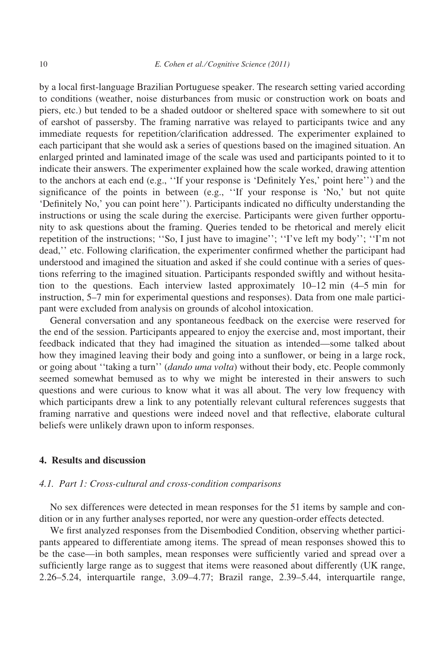by a local first-language Brazilian Portuguese speaker. The research setting varied according to conditions (weather, noise disturbances from music or construction work on boats and piers, etc.) but tended to be a shaded outdoor or sheltered space with somewhere to sit out of earshot of passersby. The framing narrative was relayed to participants twice and any immediate requests for repetition/clarification addressed. The experimenter explained to each participant that she would ask a series of questions based on the imagined situation. An enlarged printed and laminated image of the scale was used and participants pointed to it to indicate their answers. The experimenter explained how the scale worked, drawing attention to the anchors at each end (e.g., ''If your response is 'Definitely Yes,' point here'') and the significance of the points in between (e.g., ''If your response is 'No,' but not quite 'Definitely No,' you can point here''). Participants indicated no difficulty understanding the instructions or using the scale during the exercise. Participants were given further opportunity to ask questions about the framing. Queries tended to be rhetorical and merely elicit repetition of the instructions; ''So, I just have to imagine''; ''I've left my body''; ''I'm not dead,'' etc. Following clarification, the experimenter confirmed whether the participant had understood and imagined the situation and asked if she could continue with a series of questions referring to the imagined situation. Participants responded swiftly and without hesitation to the questions. Each interview lasted approximately 10–12 min (4–5 min for instruction, 5–7 min for experimental questions and responses). Data from one male participant were excluded from analysis on grounds of alcohol intoxication.

General conversation and any spontaneous feedback on the exercise were reserved for the end of the session. Participants appeared to enjoy the exercise and, most important, their feedback indicated that they had imagined the situation as intended—some talked about how they imagined leaving their body and going into a sunflower, or being in a large rock, or going about "taking a turn" (dando uma volta) without their body, etc. People commonly seemed somewhat bemused as to why we might be interested in their answers to such questions and were curious to know what it was all about. The very low frequency with which participants drew a link to any potentially relevant cultural references suggests that framing narrative and questions were indeed novel and that reflective, elaborate cultural beliefs were unlikely drawn upon to inform responses.

## 4. Results and discussion

# 4.1. Part 1: Cross-cultural and cross-condition comparisons

No sex differences were detected in mean responses for the 51 items by sample and condition or in any further analyses reported, nor were any question-order effects detected.

We first analyzed responses from the Disembodied Condition, observing whether participants appeared to differentiate among items. The spread of mean responses showed this to be the case—in both samples, mean responses were sufficiently varied and spread over a sufficiently large range as to suggest that items were reasoned about differently (UK range, 2.26–5.24, interquartile range, 3.09–4.77; Brazil range, 2.39–5.44, interquartile range,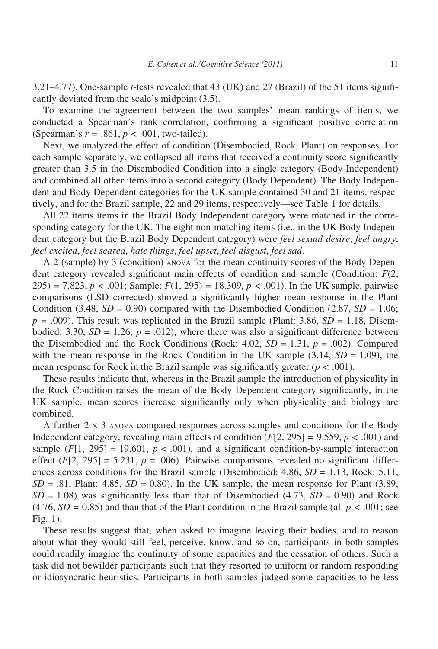3.21–4.77). One-sample t-tests revealed that 43 (UK) and 27 (Brazil) of the 51 items significantly deviated from the scale's midpoint (3.5).

To examine the agreement between the two samples' mean rankings of items, we conducted a Spearman's rank correlation, confirming a significant positive correlation (Spearman's  $r = .861$ ,  $p < .001$ , two-tailed).

Next, we analyzed the effect of condition (Disembodied, Rock, Plant) on responses. For each sample separately, we collapsed all items that received a continuity score significantly greater than 3.5 in the Disembodied Condition into a single category (Body Independent) and combined all other items into a second category (Body Dependent). The Body Independent and Body Dependent categories for the UK sample contained 30 and 21 items, respectively, and for the Brazil sample, 22 and 29 items, respectively—see Table 1 for details.

All 22 items items in the Brazil Body Independent category were matched in the corresponding category for the UK. The eight non-matching items (i.e., in the UK Body Independent category but the Brazil Body Dependent category) were feel sexual desire, feel angry, feel excited, feel scared, hate things, feel upset, feel disgust, feel sad.

A 2 (sample) by 3 (condition) anova for the mean continuity scores of the Body Dependent category revealed significant main effects of condition and sample (Condition:  $F(2)$ , 295) = 7.823,  $p < .001$ ; Sample:  $F(1, 295) = 18.309$ ,  $p < .001$ ). In the UK sample, pairwise comparisons (LSD corrected) showed a significantly higher mean response in the Plant Condition (3.48,  $SD = 0.90$ ) compared with the Disembodied Condition (2.87,  $SD = 1.06$ ;  $p = .009$ ). This result was replicated in the Brazil sample (Plant: 3.86,  $SD = 1.18$ , Disembodied: 3.30,  $SD = 1.26$ ;  $p = .012$ ), where there was also a significant difference between the Disembodied and the Rock Conditions (Rock: 4.02,  $SD = 1.31$ ,  $p = .002$ ). Compared with the mean response in the Rock Condition in the UK sample  $(3.14, SD = 1.09)$ , the mean response for Rock in the Brazil sample was significantly greater ( $p < .001$ ).

These results indicate that, whereas in the Brazil sample the introduction of physicality in the Rock Condition raises the mean of the Body Dependent category significantly, in the UK sample, mean scores increase significantly only when physicality and biology are combined.

A further  $2 \times 3$  anova compared responses across samples and conditions for the Body Independent category, revealing main effects of condition  $(F[2, 295] = 9.559, p < .001)$  and sample  $(F[1, 295] = 19.601$ ,  $p < .001$ ), and a significant condition-by-sample interaction effect  $(F[2, 295] = 5.231, p = .006)$ . Pairwise comparisons revealed no significant differences across conditions for the Brazil sample (Disembodied:  $4.86$ ,  $SD = 1.13$ , Rock:  $5.11$ ,  $SD = .81$ , Plant: 4.85,  $SD = 0.80$ ). In the UK sample, the mean response for Plant (3.89,  $SD = 1.08$ ) was significantly less than that of Disembodied (4.73,  $SD = 0.90$ ) and Rock (4.76,  $SD = 0.85$ ) and than that of the Plant condition in the Brazil sample (all  $p < .001$ ; see Fig. 1).

These results suggest that, when asked to imagine leaving their bodies, and to reason about what they would still feel, perceive, know, and so on, participants in both samples could readily imagine the continuity of some capacities and the cessation of others. Such a task did not bewilder participants such that they resorted to uniform or random responding or idiosyncratic heuristics. Participants in both samples judged some capacities to be less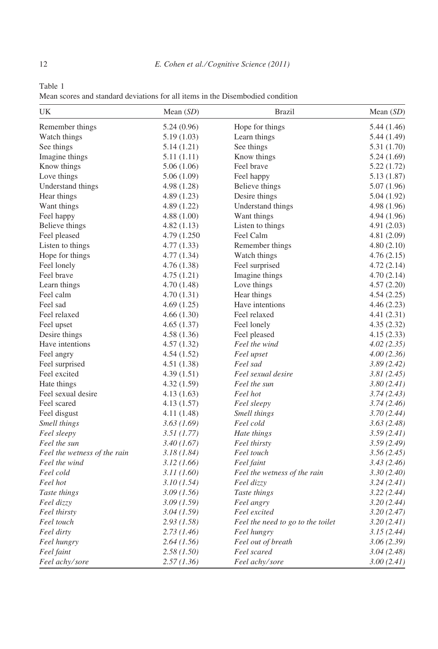Table 1

Mean scores and standard deviations for all items in the Disembodied condition

| UK                           | Mean $(SD)$  | <b>Brazil</b>                     | Mean $(SD)$ |  |
|------------------------------|--------------|-----------------------------------|-------------|--|
| Remember things              | 5.24(0.96)   | Hope for things                   | 5.44 (1.46) |  |
| Watch things                 | 5.19(1.03)   | Learn things                      | 5.44 (1.49) |  |
| See things                   | 5.14(1.21)   | See things                        | 5.31 (1.70) |  |
| Imagine things               | 5.11(1.11)   | Know things                       | 5.24(1.69)  |  |
| Know things                  | 5.06(1.06)   | Feel brave                        | 5.22(1.72)  |  |
| Love things                  | 5.06(1.09)   | Feel happy                        | 5.13 (1.87) |  |
| Understand things            | 4.98(1.28)   | Believe things                    | 5.07 (1.96) |  |
| Hear things                  | 4.89(1.23)   | Desire things                     | 5.04 (1.92) |  |
| Want things                  | 4.89(1.22)   | Understand things                 | 4.98 (1.96) |  |
| Feel happy                   | 4.88(1.00)   | Want things                       | 4.94 (1.96) |  |
| Believe things               | 4.82(1.13)   | Listen to things                  | 4.91 (2.03) |  |
| Feel pleased                 | 4.79 (1.250) | Feel Calm                         | 4.81 (2.09) |  |
| Listen to things             | 4.77(1.33)   | Remember things                   | 4.80(2.10)  |  |
| Hope for things              | 4.77 (1.34)  | Watch things                      | 4.76(2.15)  |  |
| Feel lonely                  | 4.76(1.38)   | Feel surprised                    | 4.72(2.14)  |  |
| Feel brave                   | 4.75(1.21)   | Imagine things                    | 4.70(2.14)  |  |
| Learn things                 | 4.70(1.48)   | Love things                       | 4.57(2.20)  |  |
| Feel calm                    | 4.70(1.31)   | Hear things                       | 4.54(2.25)  |  |
| Feel sad                     | 4.69(1.25)   | Have intentions                   | 4.46 (2.23) |  |
| Feel relaxed                 | 4.66(1.30)   | Feel relaxed                      | 4.41 (2.31) |  |
| Feel upset                   | 4.65(1.37)   | Feel lonely                       | 4.35(2.32)  |  |
| Desire things                | 4.58(1.36)   | Feel pleased                      | 4.15(2.33)  |  |
| Have intentions              | 4.57(1.32)   | Feel the wind                     | 4.02(2.35)  |  |
| Feel angry                   | 4.54(1.52)   | Feel upset                        | 4.00(2.36)  |  |
| Feel surprised               | 4.51(1.38)   | Feel sad                          | 3.89(2.42)  |  |
| Feel excited                 | 4.39(1.51)   | Feel sexual desire                | 3.81(2.45)  |  |
| Hate things                  | 4.32(1.59)   | Feel the sun                      | 3.80 (2.41) |  |
| Feel sexual desire           | 4.13(1.63)   | Feel hot                          | 3.74(2.43)  |  |
| Feel scared                  | 4.13(1.57)   | Feel sleepy                       | 3.74(2.46)  |  |
| Feel disgust                 | 4.11(1.48)   | Smell things                      | 3.70 (2.44) |  |
| Smell things                 | 3.63(1.69)   | Feel cold                         | 3.63(2.48)  |  |
| Feel sleepy                  | 3.51(1.77)   | Hate things                       | 3.59(2.41)  |  |
| Feel the sun                 | 3.40(1.67)   | Feel thirsty                      | 3.59(2.49)  |  |
| Feel the wetness of the rain | 3.18(1.84)   | Feel touch                        | 3.56 (2.45) |  |
| Feel the wind                | 3.12(1.66)   | Feel faint                        | 3.43 (2.46) |  |
| Feel cold                    | 3.11(1.60)   | Feel the wetness of the rain      | 3.30(2.40)  |  |
| Feel hot                     | 3.10(1.54)   | Feel dizzy                        | 3.24 (2.41) |  |
| Taste things                 | 3.09(1.56)   | Taste things                      | 3.22(2.44)  |  |
| Feel dizzy                   | 3.09(1.59)   | Feel angry                        | 3.20(2.44)  |  |
| Feel thirsty                 | 3.04(1.59)   | Feel excited                      | 3.20 (2.47) |  |
| Feel touch                   | 2.93(1.58)   | Feel the need to go to the toilet | 3.20(2.41)  |  |
| Feel dirty                   | 2.73(1.46)   | Feel hungry                       | 3.15(2.44)  |  |
| Feel hungry                  | 2.64(1.56)   | Feel out of breath                | 3.06(2.39)  |  |
| Feel faint                   | 2.58(1.50)   | Feel scared                       | 3.04 (2.48) |  |
| Feel achy/sore               | 2.57(1.36)   | Feel achy/sore                    | 3.00(2.41)  |  |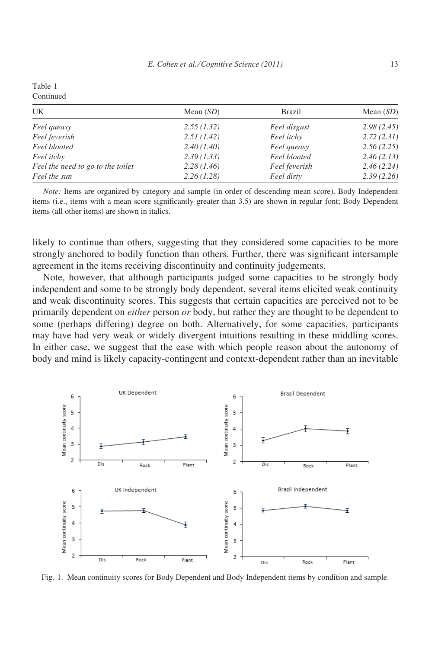Table 1 Continued

| UK                                | Mean $(SD)$ | Mean $(SD)$   |            |
|-----------------------------------|-------------|---------------|------------|
| Feel queasy                       | 2.55(1.32)  | Feel disgust  | 2.98(2.45) |
| Feel feverish                     | 2.51(1.42)  | Feel itchy    | 2.72(2.31) |
| Feel bloated                      | 2.40(1.40)  | Feel queasy   | 2.56(2.25) |
| Feel itchy                        | 2.39(1.33)  | Feel bloated  | 2.46(2.13) |
| Feel the need to go to the toilet | 2.28(1.46)  | Feel feverish | 2.46(2.24) |
| Feel the sun                      | 2.26(1.28)  | Feel dirty    | 2.39(2.26) |

Note: Items are organized by category and sample (in order of descending mean score). Body Independent items (i.e., items with a mean score significantly greater than 3.5) are shown in regular font; Body Dependent items (all other items) are shown in italics.

likely to continue than others, suggesting that they considered some capacities to be more strongly anchored to bodily function than others. Further, there was significant intersample agreement in the items receiving discontinuity and continuity judgements.

Note, however, that although participants judged some capacities to be strongly body independent and some to be strongly body dependent, several items elicited weak continuity and weak discontinuity scores. This suggests that certain capacities are perceived not to be primarily dependent on either person or body, but rather they are thought to be dependent to some (perhaps differing) degree on both. Alternatively, for some capacities, participants may have had very weak or widely divergent intuitions resulting in these middling scores. In either case, we suggest that the ease with which people reason about the autonomy of body and mind is likely capacity-contingent and context-dependent rather than an inevitable



Fig. 1. Mean continuity scores for Body Dependent and Body Independent items by condition and sample.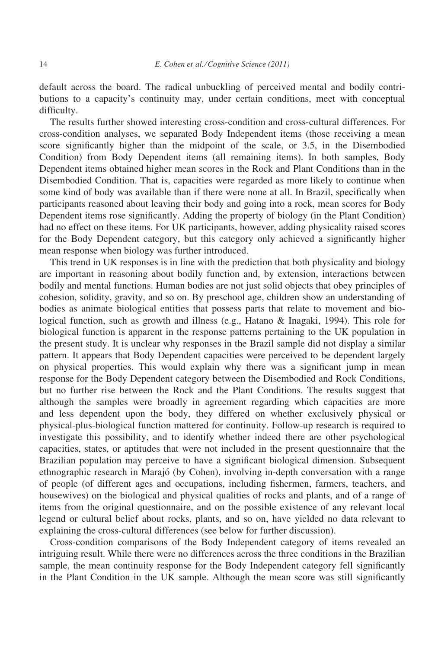default across the board. The radical unbuckling of perceived mental and bodily contributions to a capacity's continuity may, under certain conditions, meet with conceptual difficulty.

The results further showed interesting cross-condition and cross-cultural differences. For cross-condition analyses, we separated Body Independent items (those receiving a mean score significantly higher than the midpoint of the scale, or 3.5, in the Disembodied Condition) from Body Dependent items (all remaining items). In both samples, Body Dependent items obtained higher mean scores in the Rock and Plant Conditions than in the Disembodied Condition. That is, capacities were regarded as more likely to continue when some kind of body was available than if there were none at all. In Brazil, specifically when participants reasoned about leaving their body and going into a rock, mean scores for Body Dependent items rose significantly. Adding the property of biology (in the Plant Condition) had no effect on these items. For UK participants, however, adding physicality raised scores for the Body Dependent category, but this category only achieved a significantly higher mean response when biology was further introduced.

This trend in UK responses is in line with the prediction that both physicality and biology are important in reasoning about bodily function and, by extension, interactions between bodily and mental functions. Human bodies are not just solid objects that obey principles of cohesion, solidity, gravity, and so on. By preschool age, children show an understanding of bodies as animate biological entities that possess parts that relate to movement and biological function, such as growth and illness (e.g., Hatano & Inagaki, 1994). This role for biological function is apparent in the response patterns pertaining to the UK population in the present study. It is unclear why responses in the Brazil sample did not display a similar pattern. It appears that Body Dependent capacities were perceived to be dependent largely on physical properties. This would explain why there was a significant jump in mean response for the Body Dependent category between the Disembodied and Rock Conditions, but no further rise between the Rock and the Plant Conditions. The results suggest that although the samples were broadly in agreement regarding which capacities are more and less dependent upon the body, they differed on whether exclusively physical or physical-plus-biological function mattered for continuity. Follow-up research is required to investigate this possibility, and to identify whether indeed there are other psychological capacities, states, or aptitudes that were not included in the present questionnaire that the Brazilian population may perceive to have a significant biological dimension. Subsequent ethnographic research in Marajó (by Cohen), involving in-depth conversation with a range of people (of different ages and occupations, including fishermen, farmers, teachers, and housewives) on the biological and physical qualities of rocks and plants, and of a range of items from the original questionnaire, and on the possible existence of any relevant local legend or cultural belief about rocks, plants, and so on, have yielded no data relevant to explaining the cross-cultural differences (see below for further discussion).

Cross-condition comparisons of the Body Independent category of items revealed an intriguing result. While there were no differences across the three conditions in the Brazilian sample, the mean continuity response for the Body Independent category fell significantly in the Plant Condition in the UK sample. Although the mean score was still significantly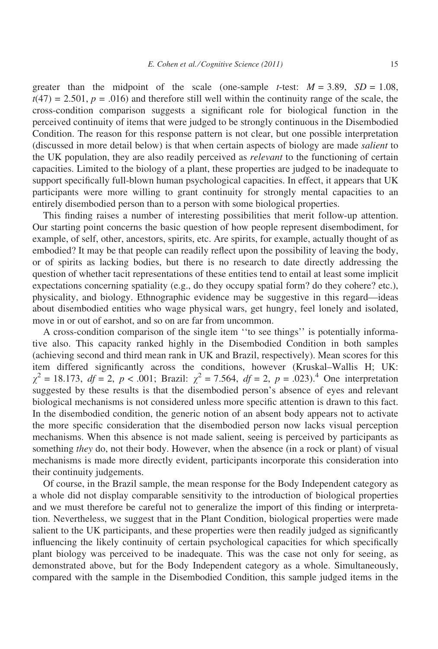greater than the midpoint of the scale (one-sample *t*-test:  $M = 3.89$ ,  $SD = 1.08$ ,  $t(47) = 2.501$ ,  $p = .016$ ) and therefore still well within the continuity range of the scale, the cross-condition comparison suggests a significant role for biological function in the perceived continuity of items that were judged to be strongly continuous in the Disembodied Condition. The reason for this response pattern is not clear, but one possible interpretation (discussed in more detail below) is that when certain aspects of biology are made salient to the UK population, they are also readily perceived as *relevant* to the functioning of certain capacities. Limited to the biology of a plant, these properties are judged to be inadequate to support specifically full-blown human psychological capacities. In effect, it appears that UK participants were more willing to grant continuity for strongly mental capacities to an entirely disembodied person than to a person with some biological properties.

This finding raises a number of interesting possibilities that merit follow-up attention. Our starting point concerns the basic question of how people represent disembodiment, for example, of self, other, ancestors, spirits, etc. Are spirits, for example, actually thought of as embodied? It may be that people can readily reflect upon the possibility of leaving the body, or of spirits as lacking bodies, but there is no research to date directly addressing the question of whether tacit representations of these entities tend to entail at least some implicit expectations concerning spatiality (e.g., do they occupy spatial form? do they cohere? etc.), physicality, and biology. Ethnographic evidence may be suggestive in this regard—ideas about disembodied entities who wage physical wars, get hungry, feel lonely and isolated, move in or out of earshot, and so on are far from uncommon.

A cross-condition comparison of the single item ''to see things'' is potentially informative also. This capacity ranked highly in the Disembodied Condition in both samples (achieving second and third mean rank in UK and Brazil, respectively). Mean scores for this item differed significantly across the conditions, however (Kruskal–Wallis H; UK:  $\chi^2 = 18.173$ ,  $df = 2$ ,  $p < .001$ ; Brazil:  $\chi^2 = 7.564$ ,  $df = 2$ ,  $p = .023$ ).<sup>4</sup> One interpretation suggested by these results is that the disembodied person's absence of eyes and relevant biological mechanisms is not considered unless more specific attention is drawn to this fact. In the disembodied condition, the generic notion of an absent body appears not to activate the more specific consideration that the disembodied person now lacks visual perception mechanisms. When this absence is not made salient, seeing is perceived by participants as something they do, not their body. However, when the absence (in a rock or plant) of visual mechanisms is made more directly evident, participants incorporate this consideration into their continuity judgements.

Of course, in the Brazil sample, the mean response for the Body Independent category as a whole did not display comparable sensitivity to the introduction of biological properties and we must therefore be careful not to generalize the import of this finding or interpretation. Nevertheless, we suggest that in the Plant Condition, biological properties were made salient to the UK participants, and these properties were then readily judged as significantly influencing the likely continuity of certain psychological capacities for which specifically plant biology was perceived to be inadequate. This was the case not only for seeing, as demonstrated above, but for the Body Independent category as a whole. Simultaneously, compared with the sample in the Disembodied Condition, this sample judged items in the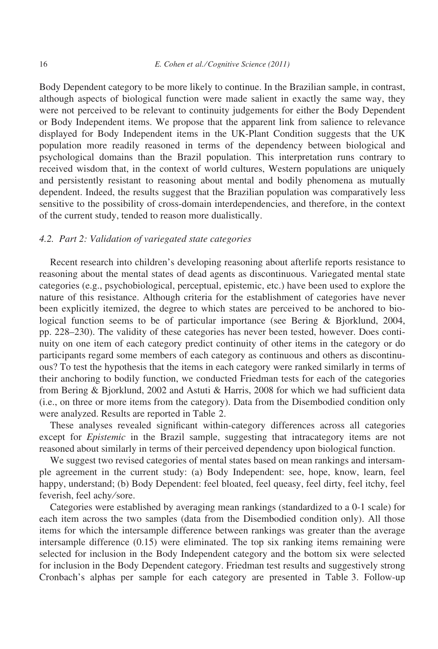Body Dependent category to be more likely to continue. In the Brazilian sample, in contrast, although aspects of biological function were made salient in exactly the same way, they were not perceived to be relevant to continuity judgements for either the Body Dependent or Body Independent items. We propose that the apparent link from salience to relevance displayed for Body Independent items in the UK-Plant Condition suggests that the UK population more readily reasoned in terms of the dependency between biological and psychological domains than the Brazil population. This interpretation runs contrary to received wisdom that, in the context of world cultures, Western populations are uniquely and persistently resistant to reasoning about mental and bodily phenomena as mutually dependent. Indeed, the results suggest that the Brazilian population was comparatively less sensitive to the possibility of cross-domain interdependencies, and therefore, in the context of the current study, tended to reason more dualistically.

## 4.2. Part 2: Validation of variegated state categories

Recent research into children's developing reasoning about afterlife reports resistance to reasoning about the mental states of dead agents as discontinuous. Variegated mental state categories (e.g., psychobiological, perceptual, epistemic, etc.) have been used to explore the nature of this resistance. Although criteria for the establishment of categories have never been explicitly itemized, the degree to which states are perceived to be anchored to biological function seems to be of particular importance (see Bering & Bjorklund, 2004, pp. 228–230). The validity of these categories has never been tested, however. Does continuity on one item of each category predict continuity of other items in the category or do participants regard some members of each category as continuous and others as discontinuous? To test the hypothesis that the items in each category were ranked similarly in terms of their anchoring to bodily function, we conducted Friedman tests for each of the categories from Bering & Bjorklund, 2002 and Astuti & Harris, 2008 for which we had sufficient data (i.e., on three or more items from the category). Data from the Disembodied condition only were analyzed. Results are reported in Table 2.

These analyses revealed significant within-category differences across all categories except for *Epistemic* in the Brazil sample, suggesting that intracategory items are not reasoned about similarly in terms of their perceived dependency upon biological function.

We suggest two revised categories of mental states based on mean rankings and intersample agreement in the current study: (a) Body Independent: see, hope, know, learn, feel happy, understand; (b) Body Dependent: feel bloated, feel queasy, feel dirty, feel itchy, feel feverish, feel achy/sore.

Categories were established by averaging mean rankings (standardized to a 0-1 scale) for each item across the two samples (data from the Disembodied condition only). All those items for which the intersample difference between rankings was greater than the average intersample difference (0.15) were eliminated. The top six ranking items remaining were selected for inclusion in the Body Independent category and the bottom six were selected for inclusion in the Body Dependent category. Friedman test results and suggestively strong Cronbach's alphas per sample for each category are presented in Table 3. Follow-up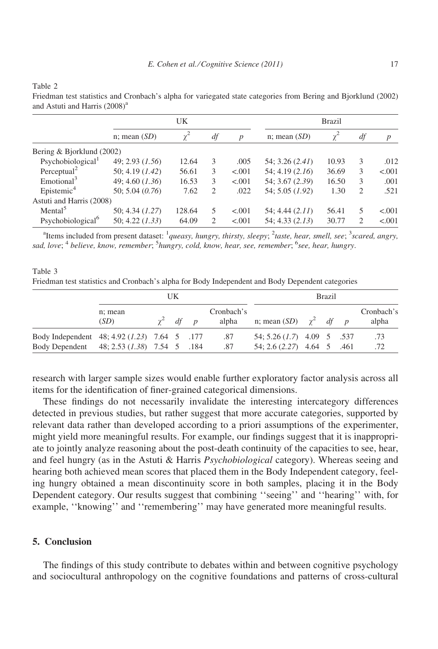| and Asidul and Hailis ( $\angle 000$ ) |          |                                                      |         |                 |       |                             |        |
|----------------------------------------|----------|------------------------------------------------------|---------|-----------------|-------|-----------------------------|--------|
| UK                                     |          |                                                      |         | <b>Brazil</b>   |       |                             |        |
| n; mean $(SD)$                         | $\chi^2$ | $\chi^2$<br>df<br>n; mean $(SD)$<br>$\boldsymbol{p}$ |         |                 | df    | $\boldsymbol{p}$            |        |
| Bering & Bjorklund (2002)              |          |                                                      |         |                 |       |                             |        |
| 49: 2.93 (1.56)                        | 12.64    | 3                                                    | .005    | 54; 3.26 (2.41) | 10.93 | 3                           | .012   |
| 50; 4.19 (1.42)                        | 56.61    | 3                                                    | < 0.001 | 54: 4.19 (2.16) | 36.69 | 3                           | < .001 |
| 49; 4.60 (1.36)                        | 16.53    | 3                                                    | < 0.001 | 54; 3.67 (2.39) | 16.50 | 3                           | .001   |
| 50: 5.04 (0.76)                        | 7.62     | 2                                                    | .022    | 54; 5.05 (1.92) | 1.30  | 2                           | .521   |
| Astuti and Harris (2008)               |          |                                                      |         |                 |       |                             |        |
| 50; 4.34 (1.27)                        | 128.64   | 5                                                    | < 0.001 | 54; 4.44(2.11)  | 56.41 | 5                           | < .001 |
| 50; 4.22 (1.33)                        | 64.09    | $\mathfrak{D}$                                       | < .001  | 54: 4.33 (2.13) | 30.77 | $\mathcal{D}_{\mathcal{L}}$ | < .001 |
|                                        |          |                                                      |         |                 |       |                             |        |

Friedman test statistics and Cronbach's alpha for variegated state categories from Bering and Bjorklund (2002) and Astuti and Harris  $(2008)^{a}$ 

<sup>a</sup>Items included from present dataset: <sup>1</sup>queasy, hungry, thirsty, sleepy; <sup>2</sup>taste, hear, smell, see; <sup>3</sup>scared, angry, sad, love; <sup>4</sup> believe, know, remember; <sup>5</sup>hungry, cold, know, hear, see, remember; <sup>6</sup>see, hear, hungry.

Table 3 Friedman test statistics and Cronbach's alpha for Body Independent and Body Dependent categories

|                                                                                              | UK              |  |                 |  | <b>Brazil</b> |                                                              |  |  |  |                     |  |
|----------------------------------------------------------------------------------------------|-----------------|--|-----------------|--|---------------|--------------------------------------------------------------|--|--|--|---------------------|--|
|                                                                                              | n; mean<br>(SD) |  | $\gamma^2$ df p |  | Cronbach's    | alpha n; mean (SD) $\chi^2$ df p                             |  |  |  | Cronbach's<br>alpha |  |
| Body Independent $48; 4.92 (1.23)$ 7.64 5 .177<br>Body Dependent 48; 2.53 (1.38) 7.54 5 .184 |                 |  |                 |  | .87<br>.87    | 54; 5.26 (1.7) 4.09 5 .537<br>$54: 2.6 (2.27)$ $4.64$ 5 .461 |  |  |  | .73<br>.72          |  |

research with larger sample sizes would enable further exploratory factor analysis across all items for the identification of finer-grained categorical dimensions.

These findings do not necessarily invalidate the interesting intercategory differences detected in previous studies, but rather suggest that more accurate categories, supported by relevant data rather than developed according to a priori assumptions of the experimenter, might yield more meaningful results. For example, our findings suggest that it is inappropriate to jointly analyze reasoning about the post-death continuity of the capacities to see, hear, and feel hungry (as in the Astuti & Harris Psychobiological category). Whereas seeing and hearing both achieved mean scores that placed them in the Body Independent category, feeling hungry obtained a mean discontinuity score in both samples, placing it in the Body Dependent category. Our results suggest that combining ''seeing'' and ''hearing'' with, for example, ''knowing'' and ''remembering'' may have generated more meaningful results.

# 5. Conclusion

Table 2

The findings of this study contribute to debates within and between cognitive psychology and sociocultural anthropology on the cognitive foundations and patterns of cross-cultural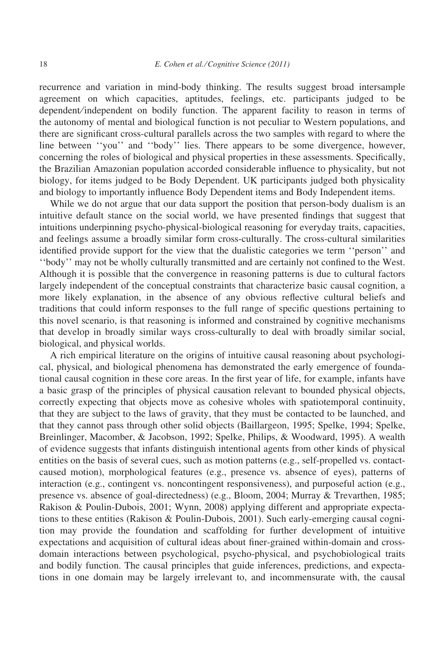recurrence and variation in mind-body thinking. The results suggest broad intersample agreement on which capacities, aptitudes, feelings, etc. participants judged to be dependent⁄independent on bodily function. The apparent facility to reason in terms of the autonomy of mental and biological function is not peculiar to Western populations, and there are significant cross-cultural parallels across the two samples with regard to where the line between ''you'' and ''body'' lies. There appears to be some divergence, however, concerning the roles of biological and physical properties in these assessments. Specifically, the Brazilian Amazonian population accorded considerable influence to physicality, but not biology, for items judged to be Body Dependent. UK participants judged both physicality and biology to importantly influence Body Dependent items and Body Independent items.

While we do not argue that our data support the position that person-body dualism is an intuitive default stance on the social world, we have presented findings that suggest that intuitions underpinning psycho-physical-biological reasoning for everyday traits, capacities, and feelings assume a broadly similar form cross-culturally. The cross-cultural similarities identified provide support for the view that the dualistic categories we term ''person'' and ''body'' may not be wholly culturally transmitted and are certainly not confined to the West. Although it is possible that the convergence in reasoning patterns is due to cultural factors largely independent of the conceptual constraints that characterize basic causal cognition, a more likely explanation, in the absence of any obvious reflective cultural beliefs and traditions that could inform responses to the full range of specific questions pertaining to this novel scenario, is that reasoning is informed and constrained by cognitive mechanisms that develop in broadly similar ways cross-culturally to deal with broadly similar social, biological, and physical worlds.

A rich empirical literature on the origins of intuitive causal reasoning about psychological, physical, and biological phenomena has demonstrated the early emergence of foundational causal cognition in these core areas. In the first year of life, for example, infants have a basic grasp of the principles of physical causation relevant to bounded physical objects, correctly expecting that objects move as cohesive wholes with spatiotemporal continuity, that they are subject to the laws of gravity, that they must be contacted to be launched, and that they cannot pass through other solid objects (Baillargeon, 1995; Spelke, 1994; Spelke, Breinlinger, Macomber, & Jacobson, 1992; Spelke, Philips, & Woodward, 1995). A wealth of evidence suggests that infants distinguish intentional agents from other kinds of physical entities on the basis of several cues, such as motion patterns (e.g., self-propelled vs. contactcaused motion), morphological features (e.g., presence vs. absence of eyes), patterns of interaction (e.g., contingent vs. noncontingent responsiveness), and purposeful action (e.g., presence vs. absence of goal-directedness) (e.g., Bloom, 2004; Murray & Trevarthen, 1985; Rakison & Poulin-Dubois, 2001; Wynn, 2008) applying different and appropriate expectations to these entities (Rakison & Poulin-Dubois, 2001). Such early-emerging causal cognition may provide the foundation and scaffolding for further development of intuitive expectations and acquisition of cultural ideas about finer-grained within-domain and crossdomain interactions between psychological, psycho-physical, and psychobiological traits and bodily function. The causal principles that guide inferences, predictions, and expectations in one domain may be largely irrelevant to, and incommensurate with, the causal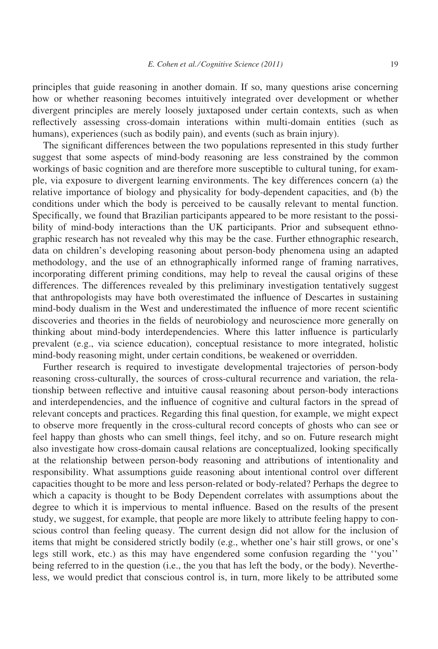principles that guide reasoning in another domain. If so, many questions arise concerning how or whether reasoning becomes intuitively integrated over development or whether divergent principles are merely loosely juxtaposed under certain contexts, such as when reflectively assessing cross-domain interations within multi-domain entities (such as humans), experiences (such as bodily pain), and events (such as brain injury).

The significant differences between the two populations represented in this study further suggest that some aspects of mind-body reasoning are less constrained by the common workings of basic cognition and are therefore more susceptible to cultural tuning, for example, via exposure to divergent learning environments. The key differences concern (a) the relative importance of biology and physicality for body-dependent capacities, and (b) the conditions under which the body is perceived to be causally relevant to mental function. Specifically, we found that Brazilian participants appeared to be more resistant to the possibility of mind-body interactions than the UK participants. Prior and subsequent ethnographic research has not revealed why this may be the case. Further ethnographic research, data on children's developing reasoning about person-body phenomena using an adapted methodology, and the use of an ethnographically informed range of framing narratives, incorporating different priming conditions, may help to reveal the causal origins of these differences. The differences revealed by this preliminary investigation tentatively suggest that anthropologists may have both overestimated the influence of Descartes in sustaining mind-body dualism in the West and underestimated the influence of more recent scientific discoveries and theories in the fields of neurobiology and neuroscience more generally on thinking about mind-body interdependencies. Where this latter influence is particularly prevalent (e.g., via science education), conceptual resistance to more integrated, holistic mind-body reasoning might, under certain conditions, be weakened or overridden.

Further research is required to investigate developmental trajectories of person-body reasoning cross-culturally, the sources of cross-cultural recurrence and variation, the relationship between reflective and intuitive causal reasoning about person-body interactions and interdependencies, and the influence of cognitive and cultural factors in the spread of relevant concepts and practices. Regarding this final question, for example, we might expect to observe more frequently in the cross-cultural record concepts of ghosts who can see or feel happy than ghosts who can smell things, feel itchy, and so on. Future research might also investigate how cross-domain causal relations are conceptualized, looking specifically at the relationship between person-body reasoning and attributions of intentionality and responsibility. What assumptions guide reasoning about intentional control over different capacities thought to be more and less person-related or body-related? Perhaps the degree to which a capacity is thought to be Body Dependent correlates with assumptions about the degree to which it is impervious to mental influence. Based on the results of the present study, we suggest, for example, that people are more likely to attribute feeling happy to conscious control than feeling queasy. The current design did not allow for the inclusion of items that might be considered strictly bodily (e.g., whether one's hair still grows, or one's legs still work, etc.) as this may have engendered some confusion regarding the ''you'' being referred to in the question (i.e., the you that has left the body, or the body). Nevertheless, we would predict that conscious control is, in turn, more likely to be attributed some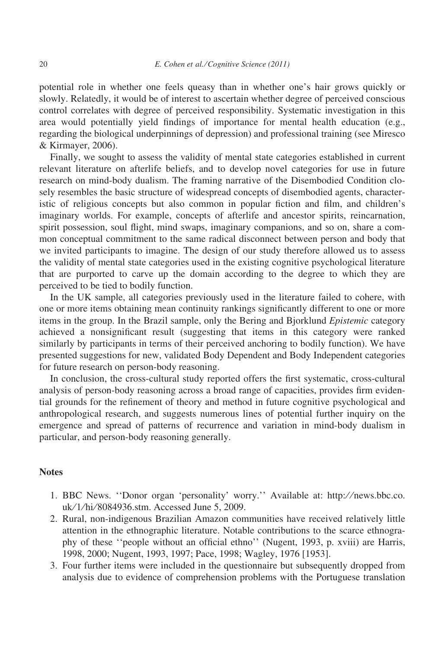potential role in whether one feels queasy than in whether one's hair grows quickly or slowly. Relatedly, it would be of interest to ascertain whether degree of perceived conscious control correlates with degree of perceived responsibility. Systematic investigation in this area would potentially yield findings of importance for mental health education (e.g., regarding the biological underpinnings of depression) and professional training (see Miresco & Kirmayer, 2006).

Finally, we sought to assess the validity of mental state categories established in current relevant literature on afterlife beliefs, and to develop novel categories for use in future research on mind-body dualism. The framing narrative of the Disembodied Condition closely resembles the basic structure of widespread concepts of disembodied agents, characteristic of religious concepts but also common in popular fiction and film, and children's imaginary worlds. For example, concepts of afterlife and ancestor spirits, reincarnation, spirit possession, soul flight, mind swaps, imaginary companions, and so on, share a common conceptual commitment to the same radical disconnect between person and body that we invited participants to imagine. The design of our study therefore allowed us to assess the validity of mental state categories used in the existing cognitive psychological literature that are purported to carve up the domain according to the degree to which they are perceived to be tied to bodily function.

In the UK sample, all categories previously used in the literature failed to cohere, with one or more items obtaining mean continuity rankings significantly different to one or more items in the group. In the Brazil sample, only the Bering and Bjorklund Epistemic category achieved a nonsignificant result (suggesting that items in this category were ranked similarly by participants in terms of their perceived anchoring to bodily function). We have presented suggestions for new, validated Body Dependent and Body Independent categories for future research on person-body reasoning.

In conclusion, the cross-cultural study reported offers the first systematic, cross-cultural analysis of person-body reasoning across a broad range of capacities, provides firm evidential grounds for the refinement of theory and method in future cognitive psychological and anthropological research, and suggests numerous lines of potential further inquiry on the emergence and spread of patterns of recurrence and variation in mind-body dualism in particular, and person-body reasoning generally.

# **Notes**

- 1. BBC News. ''Donor organ 'personality' worry.'' Available at: http:⁄ ⁄ news.bbc.co. uk/1/hi/8084936.stm. Accessed June 5, 2009.
- 2. Rural, non-indigenous Brazilian Amazon communities have received relatively little attention in the ethnographic literature. Notable contributions to the scarce ethnography of these ''people without an official ethno'' (Nugent, 1993, p. xviii) are Harris, 1998, 2000; Nugent, 1993, 1997; Pace, 1998; Wagley, 1976 [1953].
- 3. Four further items were included in the questionnaire but subsequently dropped from analysis due to evidence of comprehension problems with the Portuguese translation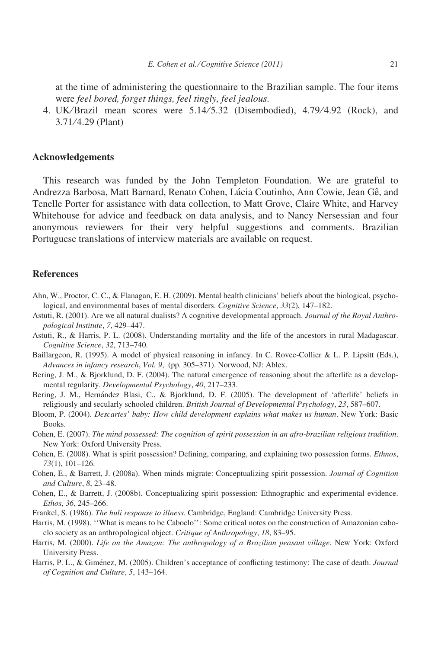at the time of administering the questionnaire to the Brazilian sample. The four items were feel bored, forget things, feel tingly, feel jealous.

4. UK⁄Brazil mean scores were 5.14⁄ 5.32 (Disembodied), 4.79⁄ 4.92 (Rock), and 3.71/4.29 (Plant)

## Acknowledgements

This research was funded by the John Templeton Foundation. We are grateful to Andrezza Barbosa, Matt Barnard, Renato Cohen, Lúcia Coutinho, Ann Cowie, Jean Gê, and Tenelle Porter for assistance with data collection, to Matt Grove, Claire White, and Harvey Whitehouse for advice and feedback on data analysis, and to Nancy Nersessian and four anonymous reviewers for their very helpful suggestions and comments. Brazilian Portuguese translations of interview materials are available on request.

## References

- Ahn, W., Proctor, C. C., & Flanagan, E. H. (2009). Mental health clinicians' beliefs about the biological, psychological, and environmental bases of mental disorders. Cognitive Science, 33(2), 147-182.
- Astuti, R. (2001). Are we all natural dualists? A cognitive developmental approach. Journal of the Royal Anthropological Institute, 7, 429–447.
- Astuti, R., & Harris, P. L. (2008). Understanding mortality and the life of the ancestors in rural Madagascar. Cognitive Science, 32, 713–740.
- Baillargeon, R. (1995). A model of physical reasoning in infancy. In C. Rovee-Collier & L. P. Lipsitt (Eds.), Advances in infancy research, Vol. 9, (pp. 305–371). Norwood, NJ: Ablex.
- Bering, J. M., & Bjorklund, D. F. (2004). The natural emergence of reasoning about the afterlife as a developmental regularity. Developmental Psychology, 40, 217–233.
- Bering, J. M., Hernández Blasi, C., & Bjorklund, D. F. (2005). The development of 'afterlife' beliefs in religiously and secularly schooled children. British Journal of Developmental Psychology, 23, 587–607.
- Bloom, P. (2004). Descartes' baby: How child development explains what makes us human. New York: Basic Books.
- Cohen, E. (2007). The mind possessed: The cognition of spirit possession in an afro-brazilian religious tradition. New York: Oxford University Press.
- Cohen, E. (2008). What is spirit possession? Defining, comparing, and explaining two possession forms. Ethnos, 73(1), 101–126.
- Cohen, E., & Barrett, J. (2008a). When minds migrate: Conceptualizing spirit possession. Journal of Cognition and Culture, 8, 23–48.
- Cohen, E., & Barrett, J. (2008b). Conceptualizing spirit possession: Ethnographic and experimental evidence. Ethos, 36, 245–266.
- Frankel, S. (1986). The huli response to illness. Cambridge, England: Cambridge University Press.
- Harris, M. (1998). ''What is means to be Caboclo'': Some critical notes on the construction of Amazonian caboclo society as an anthropological object. Critique of Anthropology, 18, 83–95.
- Harris, M. (2000). Life on the Amazon: The anthropology of a Brazilian peasant village. New York: Oxford University Press.
- Harris, P. L., & Giménez, M. (2005). Children's acceptance of conflicting testimony: The case of death. *Journal* of Cognition and Culture, 5, 143–164.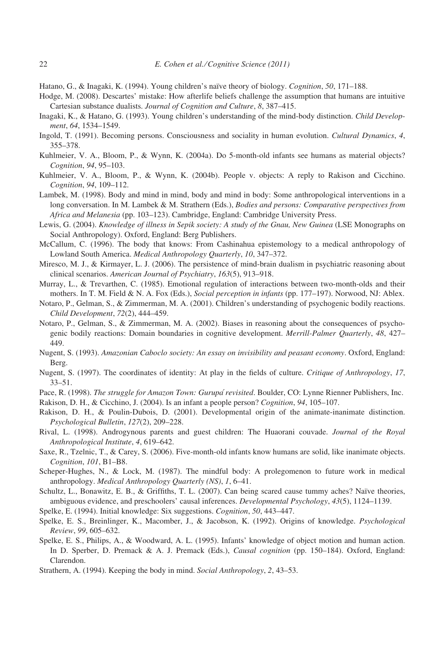- Hatano, G., & Inagaki, K. (1994). Young children's naïve theory of biology. Cognition, 50, 171–188.
- Hodge, M. (2008). Descartes' mistake: How afterlife beliefs challenge the assumption that humans are intuitive Cartesian substance dualists. Journal of Cognition and Culture, 8, 387–415.
- Inagaki, K., & Hatano, G. (1993). Young children's understanding of the mind-body distinction. *Child Develop*ment, 64, 1534–1549.
- Ingold, T. (1991). Becoming persons. Consciousness and sociality in human evolution. Cultural Dynamics, 4, 355–378.
- Kuhlmeier, V. A., Bloom, P., & Wynn, K. (2004a). Do 5-month-old infants see humans as material objects? Cognition, 94, 95–103.
- Kuhlmeier, V. A., Bloom, P., & Wynn, K. (2004b). People v. objects: A reply to Rakison and Cicchino. Cognition, 94, 109–112.
- Lambek, M. (1998). Body and mind in mind, body and mind in body: Some anthropological interventions in a long conversation. In M. Lambek & M. Strathern (Eds.), *Bodies and persons: Comparative perspectives from* Africa and Melanesia (pp. 103–123). Cambridge, England: Cambridge University Press.
- Lewis, G. (2004). *Knowledge of illness in Sepik society: A study of the Gnau, New Guinea* (LSE Monographs on Social Anthropology). Oxford, England: Berg Publishers.
- McCallum, C. (1996). The body that knows: From Cashinahua epistemology to a medical anthropology of Lowland South America. Medical Anthropology Quarterly, 10, 347–372.
- Miresco, M. J., & Kirmayer, L. J. (2006). The persistence of mind-brain dualism in psychiatric reasoning about clinical scenarios. American Journal of Psychiatry, 163(5), 913–918.
- Murray, L., & Trevarthen, C. (1985). Emotional regulation of interactions between two-month-olds and their mothers. In T. M. Field & N. A. Fox (Eds.), Social perception in infants (pp. 177–197). Norwood, NJ: Ablex.
- Notaro, P., Gelman, S., & Zimmerman, M. A. (2001). Children's understanding of psychogenic bodily reactions. Child Development, 72(2), 444–459.
- Notaro, P., Gelman, S., & Zimmerman, M. A. (2002). Biases in reasoning about the consequences of psychogenic bodily reactions: Domain boundaries in cognitive development. Merrill-Palmer Quarterly, 48, 427– 449.
- Nugent, S. (1993). Amazonian Caboclo society: An essay on invisibility and peasant economy. Oxford, England: Berg.
- Nugent, S. (1997). The coordinates of identity: At play in the fields of culture. Critique of Anthropology, 17, 33–51.
- Pace, R. (1998). The struggle for Amazon Town: Gurupa´ revisited. Boulder, CO: Lynne Rienner Publishers, Inc.
- Rakison, D. H., & Cicchino, J. (2004). Is an infant a people person? Cognition, 94, 105–107.
- Rakison, D. H., & Poulin-Dubois, D. (2001). Developmental origin of the animate-inanimate distinction. Psychological Bulletin, 127(2), 209–228.
- Rival, L. (1998). Androgynous parents and guest children: The Huaorani couvade. Journal of the Royal Anthropological Institute, 4, 619–642.
- Saxe, R., Tzelnic, T., & Carey, S. (2006). Five-month-old infants know humans are solid, like inanimate objects. Cognition, 101, B1–B8.
- Scheper-Hughes, N., & Lock, M. (1987). The mindful body: A prolegomenon to future work in medical anthropology. Medical Anthropology Quarterly (NS), 1, 6–41.
- Schultz, L., Bonawitz, E. B., & Griffiths, T. L. (2007). Can being scared cause tummy aches? Naïve theories, ambiguous evidence, and preschoolers' causal inferences. Developmental Psychology, 43(5), 1124–1139.
- Spelke, E. (1994). Initial knowledge: Six suggestions. Cognition, 50, 443–447.
- Spelke, E. S., Breinlinger, K., Macomber, J., & Jacobson, K. (1992). Origins of knowledge. Psychological Review, 99, 605–632.
- Spelke, E. S., Philips, A., & Woodward, A. L. (1995). Infants' knowledge of object motion and human action. In D. Sperber, D. Premack & A. J. Premack (Eds.), Causal cognition (pp. 150–184). Oxford, England: Clarendon.
- Strathern, A. (1994). Keeping the body in mind. Social Anthropology, 2, 43–53.